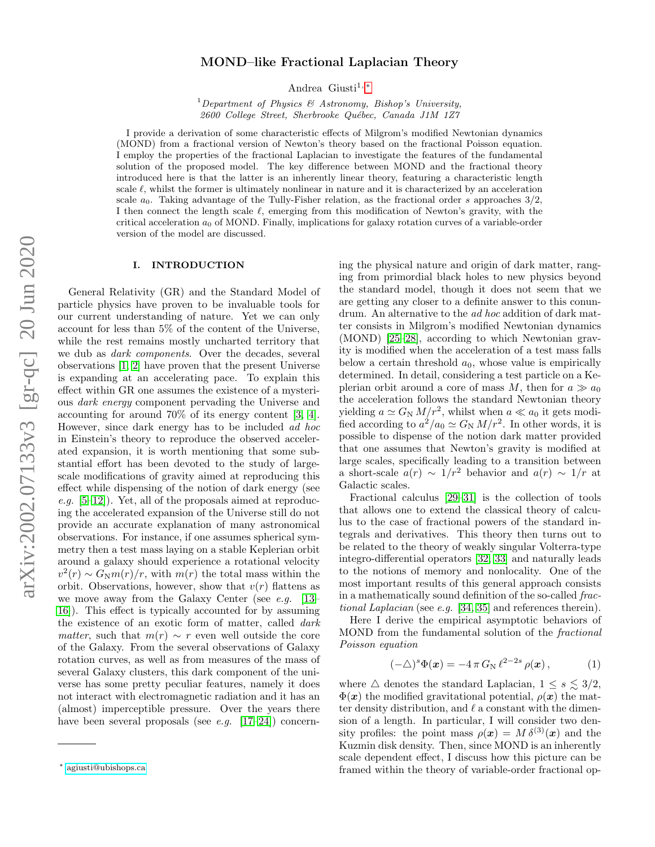# MOND–like Fractional Laplacian Theory

Andrea Giusti<sup>1,\*</sup>

<sup>1</sup>Department of Physics & Astronomy, Bishop's University, 2600 College Street, Sherbrooke Québec, Canada J1M 1Z7

I provide a derivation of some characteristic effects of Milgrom's modified Newtonian dynamics (MOND) from a fractional version of Newton's theory based on the fractional Poisson equation. I employ the properties of the fractional Laplacian to investigate the features of the fundamental solution of the proposed model. The key difference between MOND and the fractional theory introduced here is that the latter is an inherently linear theory, featuring a characteristic length scale  $\ell$ , whilst the former is ultimately nonlinear in nature and it is characterized by an acceleration scale  $a_0$ . Taking advantage of the Tully-Fisher relation, as the fractional order s approaches  $3/2$ , I then connect the length scale  $\ell$ , emerging from this modification of Newton's gravity, with the critical acceleration  $a_0$  of MOND. Finally, implications for galaxy rotation curves of a variable-order version of the model are discussed.

### I. INTRODUCTION

General Relativity (GR) and the Standard Model of particle physics have proven to be invaluable tools for our current understanding of nature. Yet we can only account for less than 5% of the content of the Universe, while the rest remains mostly uncharted territory that we dub as dark components. Over the decades, several observations [\[1,](#page-5-0) [2\]](#page-5-1) have proven that the present Universe is expanding at an accelerating pace. To explain this effect within GR one assumes the existence of a mysterious dark energy component pervading the Universe and accounting for around 70% of its energy content [\[3,](#page-5-2) [4\]](#page-5-3). However, since dark energy has to be included ad hoc in Einstein's theory to reproduce the observed accelerated expansion, it is worth mentioning that some substantial effort has been devoted to the study of largescale modifications of gravity aimed at reproducing this effect while dispensing of the notion of dark energy (see e.g.  $[5-12]$  $[5-12]$ . Yet, all of the proposals aimed at reproducing the accelerated expansion of the Universe still do not provide an accurate explanation of many astronomical observations. For instance, if one assumes spherical symmetry then a test mass laying on a stable Keplerian orbit around a galaxy should experience a rotational velocity  $v^2(r) \sim G_N m(r)/r$ , with  $m(r)$  the total mass within the orbit. Observations, however, show that  $v(r)$  flattens as we move away from the Galaxy Center (see e.g.  $[13-$ [16\]](#page-5-7)). This effect is typically accounted for by assuming the existence of an exotic form of matter, called dark *matter*, such that  $m(r) \sim r$  even well outside the core of the Galaxy. From the several observations of Galaxy rotation curves, as well as from measures of the mass of several Galaxy clusters, this dark component of the universe has some pretty peculiar features, namely it does not interact with electromagnetic radiation and it has an (almost) imperceptible pressure. Over the years there have been several proposals (see e.g.  $[17-24]$  $[17-24]$ ) concerning the physical nature and origin of dark matter, ranging from primordial black holes to new physics beyond the standard model, though it does not seem that we are getting any closer to a definite answer to this conundrum. An alternative to the ad hoc addition of dark matter consists in Milgrom's modified Newtonian dynamics (MOND) [\[25–](#page-5-10)[28\]](#page-5-11), according to which Newtonian gravity is modified when the acceleration of a test mass falls below a certain threshold  $a_0$ , whose value is empirically determined. In detail, considering a test particle on a Keplerian orbit around a core of mass M, then for  $a \gg a_0$ the acceleration follows the standard Newtonian theory yielding  $a \simeq G_N M/r^2$ , whilst when  $a \ll a_0$  it gets modified according to  $a^2/a_0 \simeq G_N M/r^2$ . In other words, it is possible to dispense of the notion dark matter provided that one assumes that Newton's gravity is modified at large scales, specifically leading to a transition between a short-scale  $a(r) \sim 1/r^2$  behavior and  $a(r) \sim 1/r$  at Galactic scales.

Fractional calculus [\[29](#page-5-12)[–31\]](#page-5-13) is the collection of tools that allows one to extend the classical theory of calculus to the case of fractional powers of the standard integrals and derivatives. This theory then turns out to be related to the theory of weakly singular Volterra-type integro-differential operators [\[32,](#page-5-14) [33\]](#page-5-15) and naturally leads to the notions of memory and nonlocality. One of the most important results of this general approach consists in a mathematically sound definition of the so-called fractional Laplacian (see e.g. [\[34,](#page-5-16) [35\]](#page-6-0) and references therein).

Here I derive the empirical asymptotic behaviors of MOND from the fundamental solution of the fractional Poisson equation

<span id="page-0-1"></span>
$$
(-\triangle)^s \Phi(\boldsymbol{x}) = -4 \pi G_\text{N} \ell^{2-2s} \rho(\boldsymbol{x}), \qquad (1)
$$

where  $\triangle$  denotes the standard Laplacian,  $1 \leq s \leq 3/2$ ,  $\Phi(x)$  the modified gravitational potential,  $\rho(x)$  the matter density distribution, and  $\ell$  a constant with the dimension of a length. In particular, I will consider two density profiles: the point mass  $\rho(x) = M \delta^{(3)}(x)$  and the Kuzmin disk density. Then, since MOND is an inherently scale dependent effect, I discuss how this picture can be framed within the theory of variable-order fractional op-

<span id="page-0-0"></span><sup>∗</sup> [agiusti@ubishops.ca](mailto:agiusti@ubishops.ca)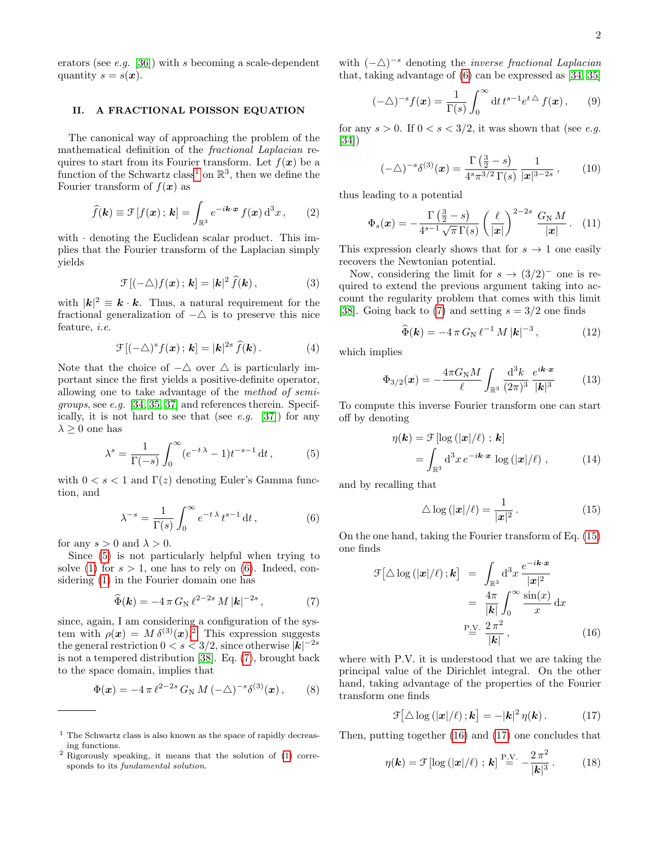erators (see  $e.g.$  [\[36\]](#page-6-1)) with s becoming a scale-dependent quantity  $s = s(x)$ .

## II. A FRACTIONAL POISSON EQUATION

The canonical way of approaching the problem of the mathematical definition of the fractional Laplacian requires to start from its Fourier transform. Let  $f(\mathbf{x})$  be a function of the Schwartz class<sup>[1](#page-1-0)</sup> on  $\mathbb{R}^3$ , then we define the Fourier transform of  $f(\boldsymbol{x})$  as

$$
\widehat{f}(\mathbf{k}) \equiv \mathcal{F}[f(\mathbf{x}); \mathbf{k}] = \int_{\mathbb{R}^3} e^{-i\mathbf{k} \cdot \mathbf{x}} f(\mathbf{x}) \, \mathrm{d}^3 x \,, \qquad (2)
$$

with  $\cdot$  denoting the Euclidean scalar product. This implies that the Fourier transform of the Laplacian simply yields

$$
\mathcal{F}[(-\triangle)f(\boldsymbol{x});\,\boldsymbol{k}] = |\boldsymbol{k}|^2 \,\widehat{f}(\boldsymbol{k})\,,\tag{3}
$$

with  $|\mathbf{k}|^2 \equiv \mathbf{k} \cdot \mathbf{k}$ . Thus, a natural requirement for the fractional generalization of  $-\Delta$  is to preserve this nice feature, i.e.

<span id="page-1-9"></span>
$$
\mathcal{F}[(-\triangle)^s f(\boldsymbol{x}); \boldsymbol{k}] = |\boldsymbol{k}|^{2s} \,\widehat{f}(\boldsymbol{k})\,. \tag{4}
$$

Note that the choice of  $-\Delta$  over  $\Delta$  is particularly important since the first yields a positive-definite operator, allowing one to take advantage of the method of semigroups, see e.g. [\[34,](#page-5-16) [35,](#page-6-0) [37\]](#page-6-2) and references therein. Specif-ically, it is not hard to see that (see e.g. [\[37\]](#page-6-2)) for any  $\lambda \geq 0$  one has

<span id="page-1-1"></span>
$$
\lambda^s = \frac{1}{\Gamma(-s)} \int_0^\infty (e^{-t\lambda} - 1) t^{-s-1} dt, \tag{5}
$$

with  $0 < s < 1$  and  $\Gamma(z)$  denoting Euler's Gamma function, and

<span id="page-1-2"></span>
$$
\lambda^{-s} = \frac{1}{\Gamma(s)} \int_0^\infty e^{-t\,\lambda} \, t^{s-1} \, \mathrm{d}t \,,\tag{6}
$$

for any  $s > 0$  and  $\lambda > 0$ .

Since [\(5\)](#page-1-1) is not particularly helpful when trying to solve [\(1\)](#page-0-1) for  $s > 1$ , one has to rely on [\(6\)](#page-1-2). Indeed, considering [\(1\)](#page-0-1) in the Fourier domain one has

<span id="page-1-4"></span>
$$
\widehat{\Phi}(\mathbf{k}) = -4 \pi G_{\mathrm{N}} \,\ell^{2-2s} \, M \, |\mathbf{k}|^{-2s} \,, \tag{7}
$$

since, again, I am considering a configuration of the system with  $\rho(\mathbf{x}) = M \delta^{(3)}(\mathbf{x})$ .<sup>[2](#page-1-3)</sup> This expression suggests the general restriction  $0 < s < 3/2$ , since otherwise  $|\mathbf{k}|^{-2s}$ is not a tempered distribution [\[38\]](#page-6-3). Eq. [\(7\)](#page-1-4), brought back to the space domain, implies that

$$
\Phi(\mathbf{x}) = -4\,\pi\,\ell^{2-2s}\,G_N\,M\,(-\triangle)^{-s}\delta^{(3)}(\mathbf{x})\,,\qquad(8)
$$

with  $(-\Delta)^{-s}$  denoting the *inverse fractional Laplacian* that, taking advantage of [\(6\)](#page-1-2) can be expressed as [\[34,](#page-5-16) [35\]](#page-6-0)

$$
(-\triangle)^{-s} f(\boldsymbol{x}) = \frac{1}{\Gamma(s)} \int_0^\infty dt \, t^{s-1} e^{t \triangle} f(\boldsymbol{x}), \qquad (9)
$$

for any  $s > 0$ . If  $0 < s < 3/2$ , it was shown that (see e.g. [\[34\]](#page-5-16))

$$
(-\triangle)^{-s}\delta^{(3)}(\boldsymbol{x}) = \frac{\Gamma(\frac{3}{2} - s)}{4^s\pi^{3/2}\Gamma(s)}\frac{1}{|\boldsymbol{x}|^{3-2s}},\qquad(10)
$$

thus leading to a potential

$$
\Phi_s(\boldsymbol{x}) = -\frac{\Gamma\left(\frac{3}{2} - s\right)}{4^{s-1}\sqrt{\pi}\,\Gamma(s)} \left(\frac{\ell}{|\boldsymbol{x}|}\right)^{2-2s} \, \frac{G_N \, M}{|\boldsymbol{x}|} \,. \tag{11}
$$

This expression clearly shows that for  $s \to 1$  one easily recovers the Newtonian potential.

Now, considering the limit for  $s \to (3/2)^-$  one is required to extend the previous argument taking into account the regularity problem that comes with this limit [\[38\]](#page-6-3). Going back to [\(7\)](#page-1-4) and setting  $s = 3/2$  one finds

$$
\widehat{\Phi}(\mathbf{k}) = -4 \pi G_{\mathrm{N}} \ell^{-1} M |\mathbf{k}|^{-3}, \qquad (12)
$$

which implies

<span id="page-1-8"></span>
$$
\Phi_{3/2}(\mathbf{x}) = -\frac{4\pi G_{\rm N}M}{\ell} \int_{\mathbb{R}^3} \frac{\mathrm{d}^3 k}{(2\pi)^3} \frac{e^{i\mathbf{k}\cdot\mathbf{x}}}{|\mathbf{k}|^3} \tag{13}
$$

To compute this inverse Fourier transform one can start off by denoting

$$
\eta(\mathbf{k}) = \mathcal{F}[\log{(|\mathbf{x}|/\ell)}; \mathbf{k}]
$$

$$
= \int_{\mathbb{R}^3} d^3x \, e^{-i\mathbf{k} \cdot \mathbf{x}} \, \log{(|\mathbf{x}|/\ell)}, \qquad (14)
$$

and by recalling that

<span id="page-1-5"></span>
$$
\triangle \log(|\mathbf{x}|/\ell) = \frac{1}{|\mathbf{x}|^2}.
$$
\n(15)

On the one hand, taking the Fourier transform of Eq. [\(15\)](#page-1-5) one finds

<span id="page-1-6"></span>
$$
\mathcal{F}[\triangle \log(|\mathbf{x}|/\ell); \mathbf{k}] = \int_{\mathbb{R}^3} d^3 x \, \frac{e^{-i\mathbf{k} \cdot \mathbf{x}}}{|\mathbf{x}|^2} \\
= \frac{4\pi}{|\mathbf{k}|} \int_0^\infty \frac{\sin(x)}{x} dx \\
\text{P.V. } \frac{2\pi^2}{|\mathbf{k}|},
$$
\n(16)

where with P.V. it is understood that we are taking the principal value of the Dirichlet integral. On the other hand, taking advantage of the properties of the Fourier transform one finds

<span id="page-1-7"></span>
$$
\mathcal{F}[\triangle \log(|\mathbf{x}|/\ell);\mathbf{k}] = -|\mathbf{k}|^2 \eta(\mathbf{k}). \qquad (17)
$$

Then, putting together [\(16\)](#page-1-6) and [\(17\)](#page-1-7) one concludes that

$$
\eta(\mathbf{k}) = \mathcal{F}\left[\log\left(|\mathbf{x}|/\ell\right) \, ; \, \mathbf{k}\right] \stackrel{\text{P.V.}}{=} -\frac{2\,\pi^2}{|\mathbf{k}|^3} \,. \tag{18}
$$

<span id="page-1-0"></span> $<sup>1</sup>$  The Schwartz class is also known as the space of rapidly decreas-</sup> ing functions.

<span id="page-1-3"></span><sup>2</sup> Rigorously speaking, it means that the solution of [\(1\)](#page-0-1) corresponds to its fundamental solution.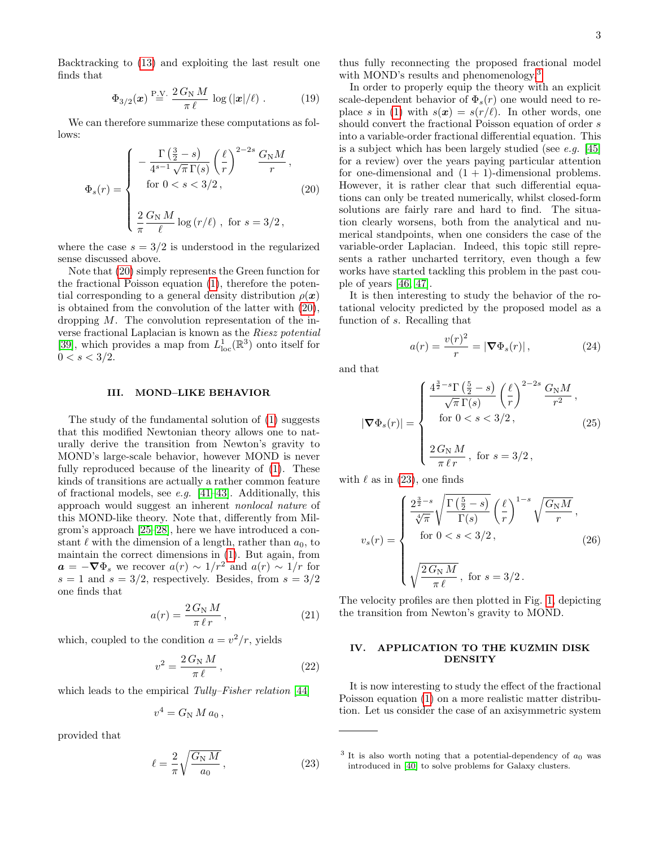Backtracking to [\(13\)](#page-1-8) and exploiting the last result one finds that

$$
\Phi_{3/2}(\boldsymbol{x}) \stackrel{\text{P.V.}}{=} \frac{2\,G_{\text{N}}\,M}{\pi\,\ell} \,\log\left(|\boldsymbol{x}|/\ell\right). \tag{19}
$$

We can therefore summarize these computations as follows:

<span id="page-2-0"></span>
$$
\Phi_s(r) = \begin{cases}\n-\frac{\Gamma\left(\frac{3}{2} - s\right)}{4^{s-1}\sqrt{\pi}\,\Gamma(s)} \left(\frac{\ell}{r}\right)^{2-2s} \frac{G_{\rm N}M}{r}, \\
\text{for } 0 < s < 3/2, \\
\frac{2}{\pi} \frac{G_{\rm N}M}{\ell} \log\left(r/\ell\right), \text{ for } s = 3/2,\n\end{cases} \tag{20}
$$

where the case  $s = 3/2$  is understood in the regularized sense discussed above.

Note that [\(20\)](#page-2-0) simply represents the Green function for the fractional Poisson equation [\(1\)](#page-0-1), therefore the potential corresponding to a general density distribution  $\rho(x)$ is obtained from the convolution of the latter with [\(20\)](#page-2-0), dropping M. The convolution representation of the inverse fractional Laplacian is known as the Riesz potential [\[39\]](#page-6-4), which provides a map from  $L^1_{loc}(\mathbb{R}^3)$  onto itself for  $0 < s < 3/2$ .

### III. MOND–LIKE BEHAVIOR

The study of the fundamental solution of [\(1\)](#page-0-1) suggests that this modified Newtonian theory allows one to naturally derive the transition from Newton's gravity to MOND's large-scale behavior, however MOND is never fully reproduced because of the linearity of [\(1\)](#page-0-1). These kinds of transitions are actually a rather common feature of fractional models, see *e.g.* [\[41](#page-6-5)[–43\]](#page-6-6). Additionally, this approach would suggest an inherent nonlocal nature of this MOND-like theory. Note that, differently from Milgrom's approach [\[25](#page-5-10)[–28\]](#page-5-11), here we have introduced a constant  $\ell$  with the dimension of a length, rather than  $a_0$ , to maintain the correct dimensions in [\(1\)](#page-0-1). But again, from  $\mathbf{a} = -\nabla \Phi_s$  we recover  $a(r) \sim 1/r^2$  and  $a(r) \sim 1/r$  for  $s = 1$  and  $s = 3/2$ , respectively. Besides, from  $s = 3/2$ one finds that

$$
a(r) = \frac{2\,G_{\rm N}\,M}{\pi\,\ell\,r} \,,\tag{21}
$$

which, coupled to the condition  $a = v^2/r$ , yields

$$
v^2 = \frac{2\,G_{\rm N}\,M}{\pi\,\ell}\,,\tag{22}
$$

which leads to the empirical Tully–Fisher relation [\[44\]](#page-6-7)

$$
v^4 = G_N M a_0,
$$

provided that

<span id="page-2-2"></span>
$$
\ell = \frac{2}{\pi} \sqrt{\frac{G_{\rm N} M}{a_0}},\tag{23}
$$

thus fully reconnecting the proposed fractional model with MOND's results and phenomenology.<sup>[3](#page-2-1)</sup>

In order to properly equip the theory with an explicit scale-dependent behavior of  $\Phi_s(r)$  one would need to re-place s in [\(1\)](#page-0-1) with  $s(x) = s(r/\ell)$ . In other words, one should convert the fractional Poisson equation of order s into a variable-order fractional differential equation. This is a subject which has been largely studied (see e.g. [\[45\]](#page-6-8) for a review) over the years paying particular attention for one-dimensional and  $(1 + 1)$ -dimensional problems. However, it is rather clear that such differential equations can only be treated numerically, whilst closed-form solutions are fairly rare and hard to find. The situation clearly worsens, both from the analytical and numerical standpoints, when one considers the case of the variable-order Laplacian. Indeed, this topic still represents a rather uncharted territory, even though a few works have started tackling this problem in the past couple of years [\[46,](#page-6-9) [47\]](#page-6-10).

It is then interesting to study the behavior of the rotational velocity predicted by the proposed model as a function of s. Recalling that

$$
a(r) = \frac{v(r)^2}{r} = |\nabla \Phi_s(r)|,
$$
\n(24)

and that

$$
|\nabla \Phi_s(r)| = \begin{cases} \frac{4^{\frac{3}{2}-s} \Gamma\left(\frac{5}{2}-s\right)}{\sqrt{\pi} \Gamma(s)} \left(\frac{\ell}{r}\right)^{2-2s} \frac{G_N M}{r^2}, \\ \text{for } 0 < s < 3/2, \\ \frac{2 \, G_N M}{\pi \, \ell \, r}, \text{ for } s = 3/2, \end{cases} \tag{25}
$$

with  $\ell$  as in [\(23\)](#page-2-2), one finds

<span id="page-2-3"></span>
$$
v_s(r) = \begin{cases} \frac{2^{\frac{3}{2}-s}}{\sqrt[4]{\pi}} \sqrt{\frac{\Gamma(\frac{5}{2}-s)}{\Gamma(s)}} \left(\frac{\ell}{r}\right)^{1-s} \sqrt{\frac{G_\text{N}M}{r}},\\ \text{for } 0 < s < 3/2,\\ \sqrt{\frac{2\,G_\text{N}M}{\pi\,\ell}}, \text{ for } s = 3/2. \end{cases} \tag{26}
$$

The velocity profiles are then plotted in Fig. [1,](#page-3-0) depicting the transition from Newton's gravity to MOND.

# IV. APPLICATION TO THE KUZMIN DISK **DENSITY**

It is now interesting to study the effect of the fractional Poisson equation [\(1\)](#page-0-1) on a more realistic matter distribution. Let us consider the case of an axisymmetric system

<span id="page-2-1"></span> $3$  It is also worth noting that a potential-dependency of  $a_0$  was introduced in [\[40\]](#page-6-11) to solve problems for Galaxy clusters.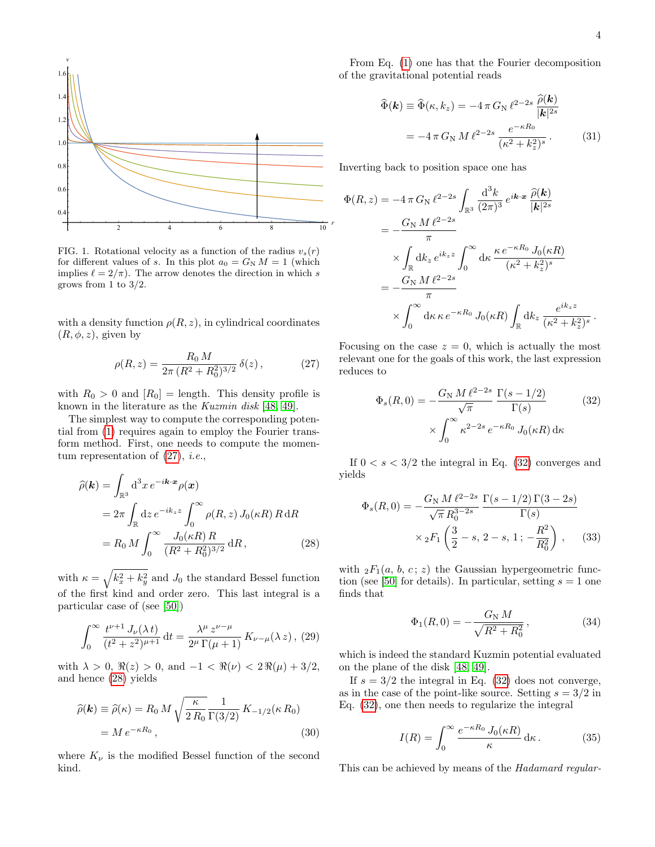

<span id="page-3-0"></span>FIG. 1. Rotational velocity as a function of the radius  $v_s(r)$ for different values of s. In this plot  $a_0 = G_N M = 1$  (which implies  $\ell = 2/\pi$ . The arrow denotes the direction in which s grows from 1 to  $3/2$ .

with a density function  $\rho(R, z)$ , in cylindrical coordinates  $(R, \phi, z)$ , given by

<span id="page-3-1"></span>
$$
\rho(R, z) = \frac{R_0 M}{2\pi (R^2 + R_0^2)^{3/2}} \,\delta(z) \,, \tag{27}
$$

with  $R_0 > 0$  and  $[R_0] =$  length. This density profile is known in the literature as the Kuzmin disk [\[48,](#page-6-12) [49\]](#page-6-13).

The simplest way to compute the corresponding potential from [\(1\)](#page-0-1) requires again to employ the Fourier transform method. First, one needs to compute the momentum representation of  $(27)$ , *i.e.*,

<span id="page-3-2"></span>
$$
\widehat{\rho}(\mathbf{k}) = \int_{\mathbb{R}^3} d^3 x \, e^{-i\mathbf{k} \cdot \mathbf{x}} \rho(\mathbf{x}) \n= 2\pi \int_{\mathbb{R}} dz \, e^{-ik_z z} \int_0^\infty \rho(R, z) J_0(\kappa R) R \, dR \n= R_0 M \int_0^\infty \frac{J_0(\kappa R) R}{(R^2 + R_0^2)^{3/2}} \, dR,
$$
\n(28)

with  $\kappa = \sqrt{k_x^2 + k_y^2}$  and  $J_0$  the standard Bessel function of the first kind and order zero. This last integral is a particular case of (see [\[50\]](#page-6-14))

$$
\int_0^\infty \frac{t^{\nu+1} J_\nu(\lambda t)}{(t^2 + z^2)^{\mu+1}} dt = \frac{\lambda^{\mu} z^{\nu-\mu}}{2^{\mu} \Gamma(\mu+1)} K_{\nu-\mu}(\lambda z), (29)
$$

with  $\lambda > 0$ ,  $\Re(z) > 0$ , and  $-1 < \Re(\nu) < 2\Re(\mu) + 3/2$ , and hence [\(28\)](#page-3-2) yields

$$
\widehat{\rho}(\mathbf{k}) \equiv \widehat{\rho}(\kappa) = R_0 M \sqrt{\frac{\kappa}{2 R_0}} \frac{1}{\Gamma(3/2)} K_{-1/2}(\kappa R_0)
$$

$$
= M e^{-\kappa R_0}, \qquad (30)
$$

where  $K_{\nu}$  is the modified Bessel function of the second kind.

From Eq. [\(1\)](#page-0-1) one has that the Fourier decomposition of the gravitational potential reads

$$
\widehat{\Phi}(\mathbf{k}) \equiv \widehat{\Phi}(\kappa, k_z) = -4 \pi G_{\rm N} \,\ell^{2-2s} \, \frac{\widehat{\rho}(\mathbf{k})}{|\mathbf{k}|^{2s}} \n= -4 \pi G_{\rm N} \, M \, \ell^{2-2s} \, \frac{e^{-\kappa R_0}}{(\kappa^2 + k_z^2)^s} . \tag{31}
$$

Inverting back to position space one has

<span id="page-3-3"></span>
$$
\Phi(R, z) = -4 \pi G_N \ell^{2-2s} \int_{\mathbb{R}^3} \frac{d^3k}{(2\pi)^3} e^{i\mathbf{k} \cdot \mathbf{x}} \frac{\hat{\rho}(\mathbf{k})}{|\mathbf{k}|^{2s}}
$$
  
\n
$$
= -\frac{G_N M \ell^{2-2s}}{\pi}
$$
  
\n
$$
\times \int_{\mathbb{R}} dk_z e^{ik_z z} \int_0^\infty d\kappa \frac{\kappa e^{-\kappa R_0} J_0(\kappa R)}{(\kappa^2 + k_z^2)^s}
$$
  
\n
$$
= -\frac{G_N M \ell^{2-2s}}{\pi}
$$
  
\n
$$
\times \int_0^\infty d\kappa \kappa e^{-\kappa R_0} J_0(\kappa R) \int_{\mathbb{R}} dk_z \frac{e^{ik_z z}}{(\kappa^2 + k_z^2)^s}.
$$

Focusing on the case  $z = 0$ , which is actually the most relevant one for the goals of this work, the last expression reduces to

$$
\Phi_s(R,0) = -\frac{G_N M \ell^{2-2s}}{\sqrt{\pi}} \frac{\Gamma(s-1/2)}{\Gamma(s)}
$$
\n
$$
\times \int_0^\infty \kappa^{2-2s} e^{-\kappa R_0} J_0(\kappa R) d\kappa
$$
\n(32)

If  $0 < s < 3/2$  the integral in Eq. [\(32\)](#page-3-3) converges and yields

<span id="page-3-4"></span>
$$
\Phi_s(R,0) = -\frac{G_N M \ell^{2-2s}}{\sqrt{\pi} R_0^{3-2s}} \frac{\Gamma(s-1/2) \Gamma(3-2s)}{\Gamma(s)} \times {}_2F_1 \left(\frac{3}{2}-s, 2-s, 1; -\frac{R^2}{R_0^2}\right),
$$
 (33)

with  ${}_2F_1(a, b, c; z)$  the Gaussian hypergeometric func-tion (see [\[50\]](#page-6-14) for details). In particular, setting  $s = 1$  one finds that

$$
\Phi_1(R,0) = -\frac{G_{\rm N} M}{\sqrt{R^2 + R_0^2}},\tag{34}
$$

which is indeed the standard Kuzmin potential evaluated on the plane of the disk [\[48,](#page-6-12) [49\]](#page-6-13).

If  $s = 3/2$  the integral in Eq. [\(32\)](#page-3-3) does not converge, as in the case of the point-like source. Setting  $s = 3/2$  in Eq. [\(32\)](#page-3-3), one then needs to regularize the integral

$$
I(R) = \int_0^\infty \frac{e^{-\kappa R_0} J_0(\kappa R)}{\kappa} \, \mathrm{d}\kappa \,. \tag{35}
$$

This can be achieved by means of the Hadamard regular-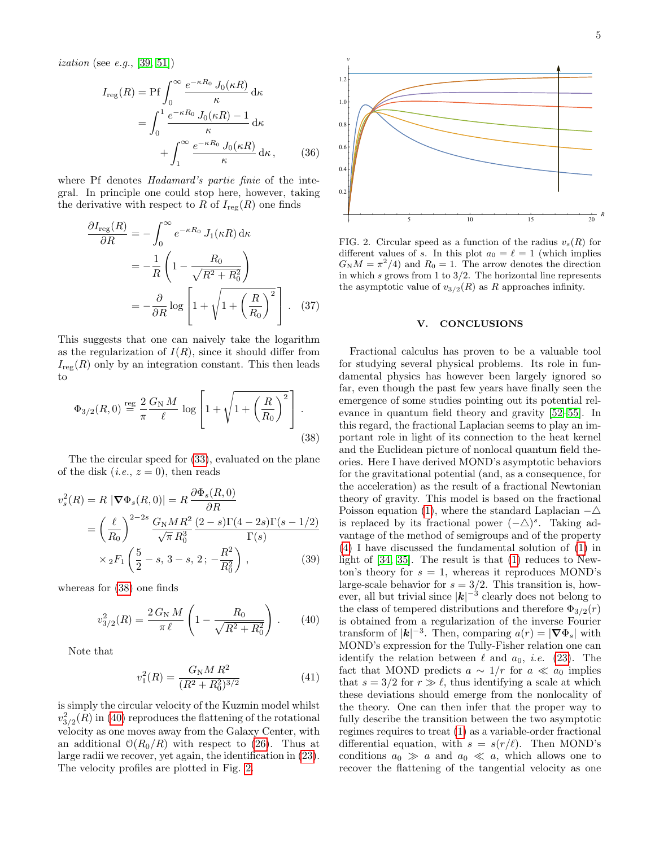$$
I_{\rm reg}(R) = \text{Pf} \int_0^\infty \frac{e^{-\kappa R_0} J_0(\kappa R)}{\kappa} d\kappa
$$

$$
= \int_0^1 \frac{e^{-\kappa R_0} J_0(\kappa R) - 1}{\kappa} d\kappa
$$

$$
+ \int_1^\infty \frac{e^{-\kappa R_0} J_0(\kappa R)}{\kappa} d\kappa, \qquad (36)
$$

where Pf denotes *Hadamard's partie finie* of the integral. In principle one could stop here, however, taking the derivative with respect to R of  $I_{reg}(R)$  one finds

$$
\frac{\partial I_{\text{reg}}(R)}{\partial R} = -\int_0^\infty e^{-\kappa R_0} J_1(\kappa R) \, \mathrm{d}\kappa
$$
\n
$$
= -\frac{1}{R} \left( 1 - \frac{R_0}{\sqrt{R^2 + R_0^2}} \right)
$$
\n
$$
= -\frac{\partial}{\partial R} \log \left[ 1 + \sqrt{1 + \left(\frac{R}{R_0}\right)^2} \right]. \quad (37)
$$

This suggests that one can naively take the logarithm as the regularization of  $I(R)$ , since it should differ from  $I_{\text{reg}}(R)$  only by an integration constant. This then leads to

<span id="page-4-0"></span>
$$
\Phi_{3/2}(R,0) \stackrel{\text{reg}}{=} \frac{2}{\pi} \frac{G_N M}{\ell} \log \left[ 1 + \sqrt{1 + \left(\frac{R}{R_0}\right)^2} \right].
$$
\n(38)

The the circular speed for [\(33\)](#page-3-4), evaluated on the plane of the disk  $(i.e., z = 0)$ , then reads

$$
v_s^2(R) = R |\nabla \Phi_s(R, 0)| = R \frac{\partial \Phi_s(R, 0)}{\partial R}
$$
  
=  $\left(\frac{\ell}{R_0}\right)^{2-2s} \frac{G_N M R^2}{\sqrt{\pi} R_0^3} \frac{(2-s)\Gamma(4-2s)\Gamma(s-1/2)}{\Gamma(s)}$   
 $\times {}_2F_1 \left(\frac{5}{2} - s, 3 - s, 2; -\frac{R^2}{R_0^2}\right),$  (39)

whereas for [\(38\)](#page-4-0) one finds

<span id="page-4-1"></span>
$$
v_{3/2}^2(R) = \frac{2\,G_{\rm N}\,M}{\pi\,\ell} \left(1 - \frac{R_0}{\sqrt{R^2 + R_0^2}}\right). \tag{40}
$$

Note that

$$
v_1^2(R) = \frac{G_\text{N} M R^2}{(R^2 + R_0^2)^{3/2}}\tag{41}
$$

is simply the circular velocity of the Kuzmin model whilst  $v_{3/2}^2(R)$  in [\(40\)](#page-4-1) reproduces the flattening of the rotational velocity as one moves away from the Galaxy Center, with an additional  $O(R_0/R)$  with respect to [\(26\)](#page-2-3). Thus at large radii we recover, yet again, the identification in [\(23\)](#page-2-2). The velocity profiles are plotted in Fig. [2.](#page-4-2)



<span id="page-4-2"></span>FIG. 2. Circular speed as a function of the radius  $v_s(R)$  for different values of s. In this plot  $a_0 = \ell = 1$  (which implies  $G_N M = \pi^2/4$  and  $R_0 = 1$ . The arrow denotes the direction in which s grows from 1 to  $3/2$ . The horizontal line represents the asymptotic value of  $v_{3/2}(R)$  as R approaches infinity.

### V. CONCLUSIONS

Fractional calculus has proven to be a valuable tool for studying several physical problems. Its role in fundamental physics has however been largely ignored so far, even though the past few years have finally seen the emergence of some studies pointing out its potential relevance in quantum field theory and gravity [\[52–](#page-6-16)[55\]](#page-6-17). In this regard, the fractional Laplacian seems to play an important role in light of its connection to the heat kernel and the Euclidean picture of nonlocal quantum field theories. Here I have derived MOND's asymptotic behaviors for the gravitational potential (and, as a consequence, for the acceleration) as the result of a fractional Newtonian theory of gravity. This model is based on the fractional Poisson equation [\(1\)](#page-0-1), where the standard Laplacian  $-\triangle$ is replaced by its fractional power  $(-\triangle)^s$ . Taking advantage of the method of semigroups and of the property [\(4\)](#page-1-9) I have discussed the fundamental solution of [\(1\)](#page-0-1) in light of [\[34,](#page-5-16) [35\]](#page-6-0). The result is that [\(1\)](#page-0-1) reduces to Newton's theory for  $s = 1$ , whereas it reproduces MOND's large-scale behavior for  $s = 3/2$ . This transition is, however, all but trivial since  $|\boldsymbol{k}|^{-3}$  clearly does not belong to the class of tempered distributions and therefore  $\Phi_{3/2}(r)$ is obtained from a regularization of the inverse Fourier transform of  $|\mathbf{k}|^{-3}$ . Then, comparing  $a(r) = |\nabla \Phi_s|$  with MOND's expression for the Tully-Fisher relation one can identify the relation between  $\ell$  and  $a_0$ , *i.e.* [\(23\)](#page-2-2). The fact that MOND predicts  $a \sim 1/r$  for  $a \ll a_0$  implies that  $s = 3/2$  for  $r \gg \ell$ , thus identifying a scale at which these deviations should emerge from the nonlocality of the theory. One can then infer that the proper way to fully describe the transition between the two asymptotic regimes requires to treat [\(1\)](#page-0-1) as a variable-order fractional differential equation, with  $s = s(r/\ell)$ . Then MOND's conditions  $a_0 \gg a$  and  $a_0 \ll a$ , which allows one to recover the flattening of the tangential velocity as one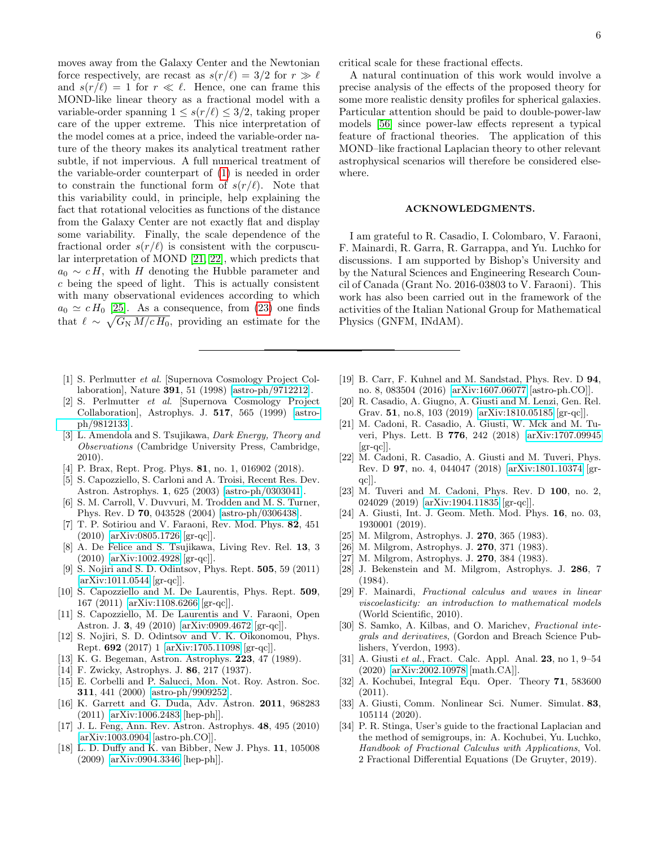moves away from the Galaxy Center and the Newtonian force respectively, are recast as  $s(r/\ell) = 3/2$  for  $r \gg \ell$ and  $s(r/\ell) = 1$  for  $r \ll \ell$ . Hence, one can frame this MOND-like linear theory as a fractional model with a variable-order spanning  $1 \leq s(r/\ell) \leq 3/2$ , taking proper care of the upper extreme. This nice interpretation of the model comes at a price, indeed the variable-order nature of the theory makes its analytical treatment rather subtle, if not impervious. A full numerical treatment of the variable-order counterpart of [\(1\)](#page-0-1) is needed in order to constrain the functional form of  $s(r/\ell)$ . Note that this variability could, in principle, help explaining the fact that rotational velocities as functions of the distance from the Galaxy Center are not exactly flat and display some variability. Finally, the scale dependence of the fractional order  $s(r/\ell)$  is consistent with the corpuscular interpretation of MOND [\[21,](#page-5-17) [22\]](#page-5-18), which predicts that  $a_0 \sim cH$ , with H denoting the Hubble parameter and c being the speed of light. This is actually consistent with many observational evidences according to which  $a_0 \simeq c H_0$  [\[25\]](#page-5-10). As a consequence, from [\(23\)](#page-2-2) one finds that  $\ell \sim \sqrt{G_{\rm N} M/c H_0}$ , providing an estimate for the

- <span id="page-5-0"></span>[1] S. Perlmutter et al. [Supernova Cosmology Project Collaboration], Nature 391, 51 (1998) [\[astro-ph/9712212\]](http://arxiv.org/abs/astro-ph/9712212).
- <span id="page-5-1"></span>[2] S. Perlmutter et al. [Supernova Cosmology Project Collaboration], Astrophys. J. 517, 565 (1999) [\[astro](http://arxiv.org/abs/astro-ph/9812133)[ph/9812133\]](http://arxiv.org/abs/astro-ph/9812133).
- <span id="page-5-2"></span>[3] L. Amendola and S. Tsujikawa, *Dark Energy*, *Theory and* Observations (Cambridge University Press, Cambridge, 2010).
- <span id="page-5-3"></span>[4] P. Brax, Rept. Prog. Phys. **81**, no. 1, 016902 (2018).
- <span id="page-5-4"></span>[5] S. Capozziello, S. Carloni and A. Troisi, Recent Res. Dev. Astron. Astrophys. 1, 625 (2003) [\[astro-ph/0303041\]](http://arxiv.org/abs/astro-ph/0303041).
- [6] S. M. Carroll, V. Duvvuri, M. Trodden and M. S. Turner, Phys. Rev. D 70, 043528 (2004) [\[astro-ph/0306438\]](http://arxiv.org/abs/astro-ph/0306438).
- [7] T. P. Sotiriou and V. Faraoni, Rev. Mod. Phys. 82, 451 (2010) [\[arXiv:0805.1726](http://arxiv.org/abs/0805.1726) [gr-qc]].
- [8] A. De Felice and S. Tsujikawa, Living Rev. Rel. 13, 3 (2010) [\[arXiv:1002.4928](http://arxiv.org/abs/1002.4928) [gr-qc]].
- [9] S. Nojiri and S. D. Odintsov, Phys. Rept. 505, 59 (2011) [\[arXiv:1011.0544](http://arxiv.org/abs/1011.0544) [gr-qc]].
- [10] S. Capozziello and M. De Laurentis, Phys. Rept. 509, 167 (2011) [\[arXiv:1108.6266](http://arxiv.org/abs/1108.6266) [gr-qc]].
- [11] S. Capozziello, M. De Laurentis and V. Faraoni, Open Astron. J. 3, 49 (2010) [\[arXiv:0909.4672](http://arxiv.org/abs/0909.4672) [gr-qc]].
- <span id="page-5-5"></span>[12] S. Nojiri, S. D. Odintsov and V. K. Oikonomou, Phys. Rept. 692 (2017) 1 [\[arXiv:1705.11098](http://arxiv.org/abs/1705.11098) [gr-qc]].
- <span id="page-5-6"></span>[13] K. G. Begeman, Astron. Astrophys. 223, 47 (1989).
- [14] F. Zwicky, Astrophys. J. 86, 217 (1937).
- [15] E. Corbelli and P. Salucci, Mon. Not. Roy. Astron. Soc. 311, 441 (2000) [\[astro-ph/9909252\]](http://arxiv.org/abs/astro-ph/9909252).
- <span id="page-5-7"></span>[16] K. Garrett and G. Duda, Adv. Astron. 2011, 968283 (2011) [\[arXiv:1006.2483](http://arxiv.org/abs/1006.2483) [hep-ph]].
- <span id="page-5-8"></span>[17] J. L. Feng, Ann. Rev. Astron. Astrophys. 48, 495 (2010) [\[arXiv:1003.0904](http://arxiv.org/abs/1003.0904) [astro-ph.CO]].
- [18] L. D. Duffy and K. van Bibber, New J. Phys. 11, 105008 (2009) [\[arXiv:0904.3346](http://arxiv.org/abs/0904.3346) [hep-ph]].

critical scale for these fractional effects.

A natural continuation of this work would involve a precise analysis of the effects of the proposed theory for some more realistic density profiles for spherical galaxies. Particular attention should be paid to double-power-law models [\[56\]](#page-6-18) since power-law effects represent a typical feature of fractional theories. The application of this MOND–like fractional Laplacian theory to other relevant astrophysical scenarios will therefore be considered elsewhere.

#### ACKNOWLEDGMENTS.

I am grateful to R. Casadio, I. Colombaro, V. Faraoni, F. Mainardi, R. Garra, R. Garrappa, and Yu. Luchko for discussions. I am supported by Bishop's University and by the Natural Sciences and Engineering Research Council of Canada (Grant No. 2016-03803 to V. Faraoni). This work has also been carried out in the framework of the activities of the Italian National Group for Mathematical Physics (GNFM, INdAM).

- [19] B. Carr, F. Kuhnel and M. Sandstad, Phys. Rev. D 94, no. 8, 083504 (2016) [\[arXiv:1607.06077](http://arxiv.org/abs/1607.06077) [astro-ph.CO]].
- [20] R. Casadio, A. Giugno, A. Giusti and M. Lenzi, Gen. Rel. Grav. 51, no.8, 103 (2019) [\[arXiv:1810.05185](http://arxiv.org/abs/1810.05185) [gr-qc]].
- <span id="page-5-17"></span>[21] M. Cadoni, R. Casadio, A. Giusti, W. Mck and M. Tuveri, Phys. Lett. B 776, 242 (2018) [\[arXiv:1707.09945](http://arxiv.org/abs/1707.09945)  $\left[\text{gr-qc}\right]$ .
- <span id="page-5-18"></span>[22] M. Cadoni, R. Casadio, A. Giusti and M. Tuveri, Phys. Rev. D 97, no. 4, 044047 (2018) [\[arXiv:1801.10374](http://arxiv.org/abs/1801.10374) [grqc]].
- [23] M. Tuveri and M. Cadoni, Phys. Rev. D 100, no. 2, 024029 (2019) [\[arXiv:1904.11835](http://arxiv.org/abs/1904.11835) [gr-qc]].
- <span id="page-5-9"></span>[24] A. Giusti, Int. J. Geom. Meth. Mod. Phys. 16, no. 03, 1930001 (2019).
- <span id="page-5-10"></span>[25] M. Milgrom, Astrophys. J. **270**, 365 (1983).
- [26] M. Milgrom, Astrophys. J. 270, 371 (1983).
- [27] M. Milgrom, Astrophys. J. 270, 384 (1983).
- <span id="page-5-11"></span>[28] J. Bekenstein and M. Milgrom, Astrophys. J. 286, 7 (1984).
- <span id="page-5-12"></span>[29] F. Mainardi, Fractional calculus and waves in linear viscoelasticity: an introduction to mathematical models (World Scientific, 2010).
- [30] S. Samko, A. Kilbas, and O. Marichev, Fractional integrals and derivatives, (Gordon and Breach Science Publishers, Yverdon, 1993).
- <span id="page-5-13"></span>[31] A. Giusti et al., Fract. Calc. Appl. Anal. 23, no 1, 9–54 (2020) [\[arXiv:2002.10978](http://arxiv.org/abs/2002.10978) [math.CA]].
- <span id="page-5-14"></span>[32] A. Kochubei, Integral Equ. Oper. Theory 71, 583600 (2011).
- <span id="page-5-15"></span>[33] A. Giusti, Comm. Nonlinear Sci. Numer. Simulat. 83, 105114 (2020).
- <span id="page-5-16"></span>[34] P. R. Stinga, User's guide to the fractional Laplacian and the method of semigroups, in: A. Kochubei, Yu. Luchko, Handbook of Fractional Calculus with Applications, Vol. 2 Fractional Differential Equations (De Gruyter, 2019).